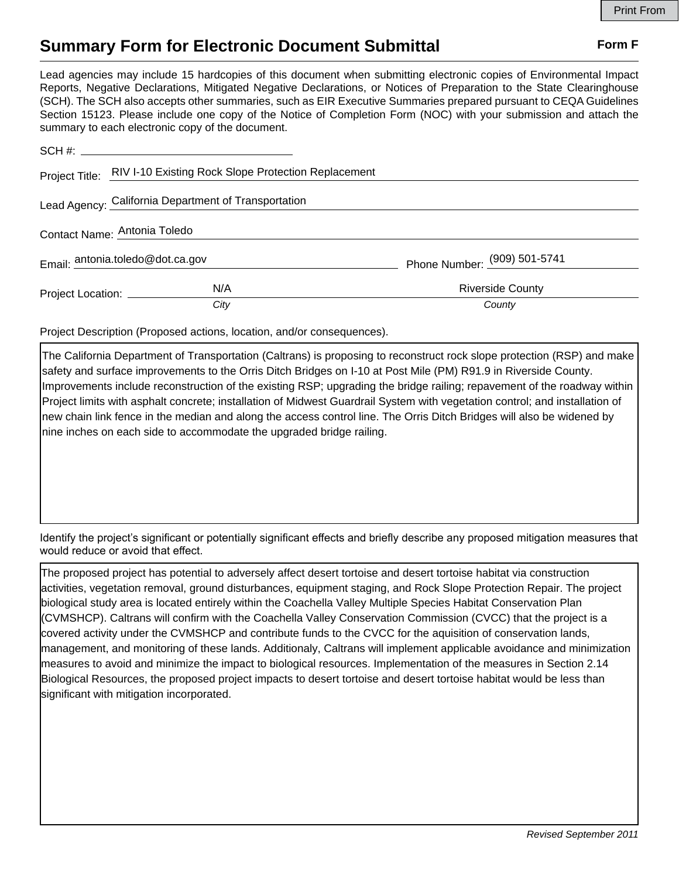## **Summary Form for Electronic Document Submittal Form F Form F**

Lead agencies may include 15 hardcopies of this document when submitting electronic copies of Environmental Impact Reports, Negative Declarations, Mitigated Negative Declarations, or Notices of Preparation to the State Clearinghouse (SCH). The SCH also accepts other summaries, such as EIR Executive Summaries prepared pursuant to CEQA Guidelines Section 15123. Please include one copy of the Notice of Completion Form (NOC) with your submission and attach the summary to each electronic copy of the document.

|                                                      | Project Title: RIV I-10 Existing Rock Slope Protection Replacement |                              |
|------------------------------------------------------|--------------------------------------------------------------------|------------------------------|
| Lead Agency: California Department of Transportation |                                                                    |                              |
| Contact Name: Antonia Toledo                         |                                                                    |                              |
| Email: antonia.toledo@dot.ca.gov                     |                                                                    | Phone Number: (909) 501-5741 |
| Project Location: ____________                       | N/A                                                                | <b>Riverside County</b>      |
|                                                      | City                                                               | County                       |

Project Description (Proposed actions, location, and/or consequences).

The California Department of Transportation (Caltrans) is proposing to reconstruct rock slope protection (RSP) and make safety and surface improvements to the Orris Ditch Bridges on I-10 at Post Mile (PM) R91.9 in Riverside County. Improvements include reconstruction of the existing RSP; upgrading the bridge railing; repavement of the roadway within Project limits with asphalt concrete; installation of Midwest Guardrail System with vegetation control; and installation of new chain link fence in the median and along the access control line. The Orris Ditch Bridges will also be widened by nine inches on each side to accommodate the upgraded bridge railing.

Identify the project's significant or potentially significant effects and briefly describe any proposed mitigation measures that would reduce or avoid that effect.

The proposed project has potential to adversely affect desert tortoise and desert tortoise habitat via construction activities, vegetation removal, ground disturbances, equipment staging, and Rock Slope Protection Repair. The project biological study area is located entirely within the Coachella Valley Multiple Species Habitat Conservation Plan (CVMSHCP). Caltrans will confirm with the Coachella Valley Conservation Commission (CVCC) that the project is a covered activity under the CVMSHCP and contribute funds to the CVCC for the aquisition of conservation lands, management, and monitoring of these lands. Additionaly, Caltrans will implement applicable avoidance and minimization measures to avoid and minimize the impact to biological resources. Implementation of the measures in Section 2.14 Biological Resources, the proposed project impacts to desert tortoise and desert tortoise habitat would be less than significant with mitigation incorporated.